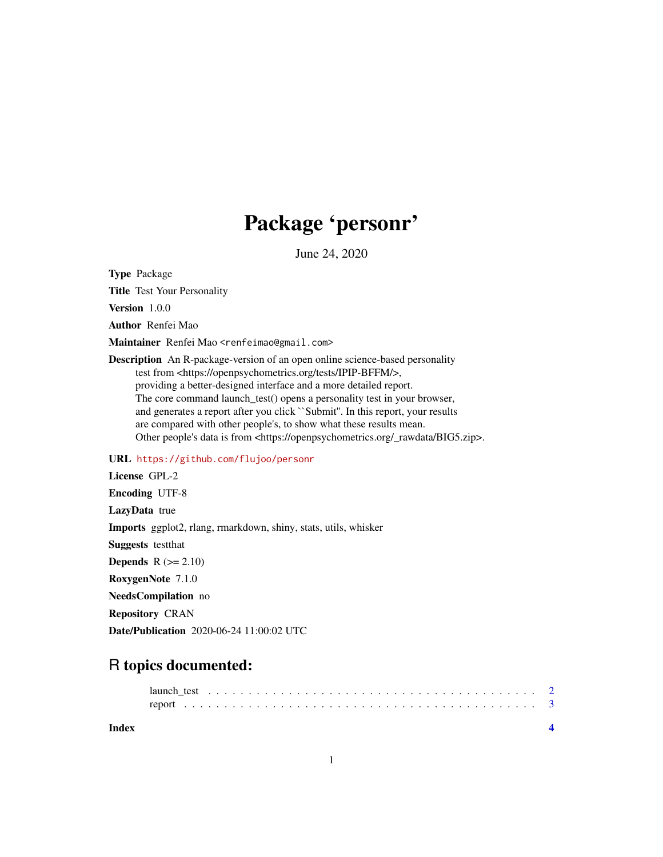# Package 'personr'

June 24, 2020

Type Package

Title Test Your Personality

Version 1.0.0

Author Renfei Mao

Maintainer Renfei Mao <renfeimao@gmail.com>

Description An R-package-version of an open online science-based personality test from <https://openpsychometrics.org/tests/IPIP-BFFM/>, providing a better-designed interface and a more detailed report. The core command launch\_test() opens a personality test in your browser, and generates a report after you click ``Submit''. In this report, your results are compared with other people's, to show what these results mean. Other people's data is from <https://openpsychometrics.org/\_rawdata/BIG5.zip>.

#### URL <https://github.com/flujoo/personr>

License GPL-2 Encoding UTF-8 LazyData true Imports ggplot2, rlang, rmarkdown, shiny, stats, utils, whisker Suggests testthat **Depends**  $R$  ( $>= 2.10$ ) RoxygenNote 7.1.0 NeedsCompilation no Repository CRAN

Date/Publication 2020-06-24 11:00:02 UTC

## R topics documented:

**Index** [4](#page-3-0)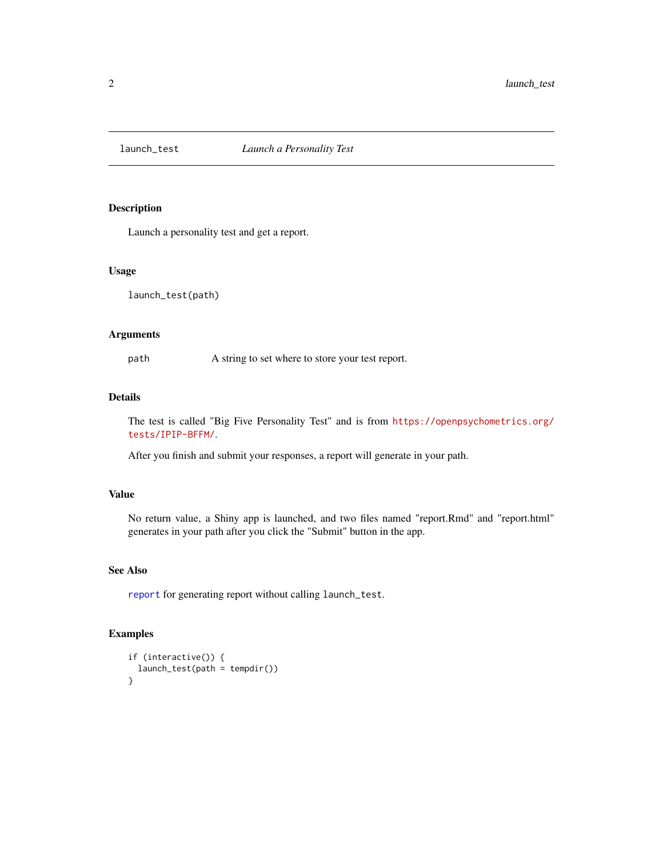<span id="page-1-1"></span><span id="page-1-0"></span>

#### Description

Launch a personality test and get a report.

#### Usage

launch\_test(path)

#### Arguments

path A string to set where to store your test report.

#### Details

The test is called "Big Five Personality Test" and is from [https://openpsychometrics.org/](https://openpsychometrics.org/tests/IPIP-BFFM/) [tests/IPIP-BFFM/](https://openpsychometrics.org/tests/IPIP-BFFM/).

After you finish and submit your responses, a report will generate in your path.

#### Value

No return value, a Shiny app is launched, and two files named "report.Rmd" and "report.html" generates in your path after you click the "Submit" button in the app.

#### See Also

[report](#page-2-1) for generating report without calling launch\_test.

#### Examples

```
if (interactive()) {
 launch_test(path = tempdir())
}
```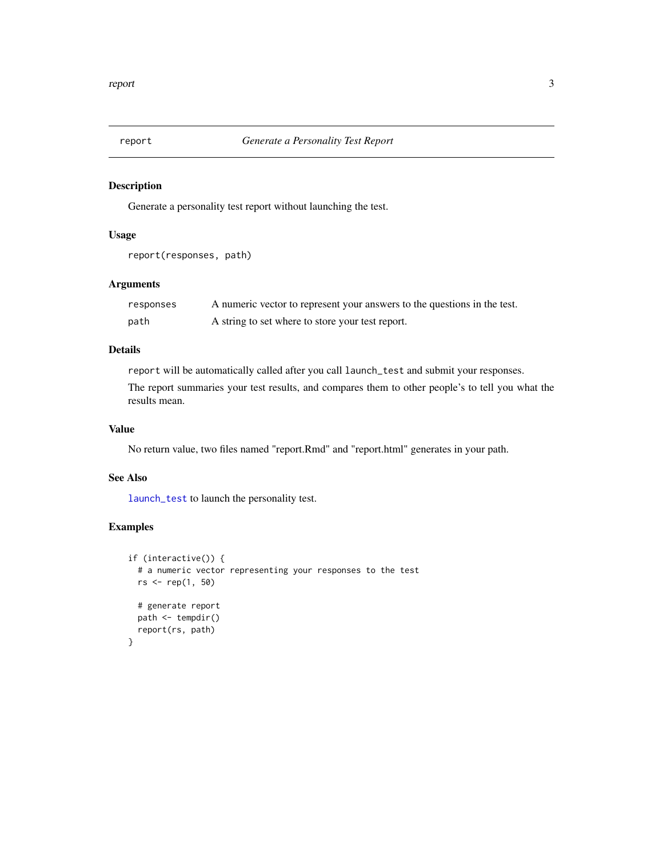<span id="page-2-1"></span><span id="page-2-0"></span>

#### Description

Generate a personality test report without launching the test.

### Usage

```
report(responses, path)
```
#### Arguments

| responses | A numeric vector to represent your answers to the questions in the test. |
|-----------|--------------------------------------------------------------------------|
| path      | A string to set where to store your test report.                         |

#### Details

report will be automatically called after you call launch\_test and submit your responses.

The report summaries your test results, and compares them to other people's to tell you what the results mean.

#### Value

No return value, two files named "report.Rmd" and "report.html" generates in your path.

#### See Also

[launch\\_test](#page-1-1) to launch the personality test.

#### Examples

```
if (interactive()) {
 # a numeric vector representing your responses to the test
 rs <- rep(1, 50)
 # generate report
 path <- tempdir()
 report(rs, path)
}
```